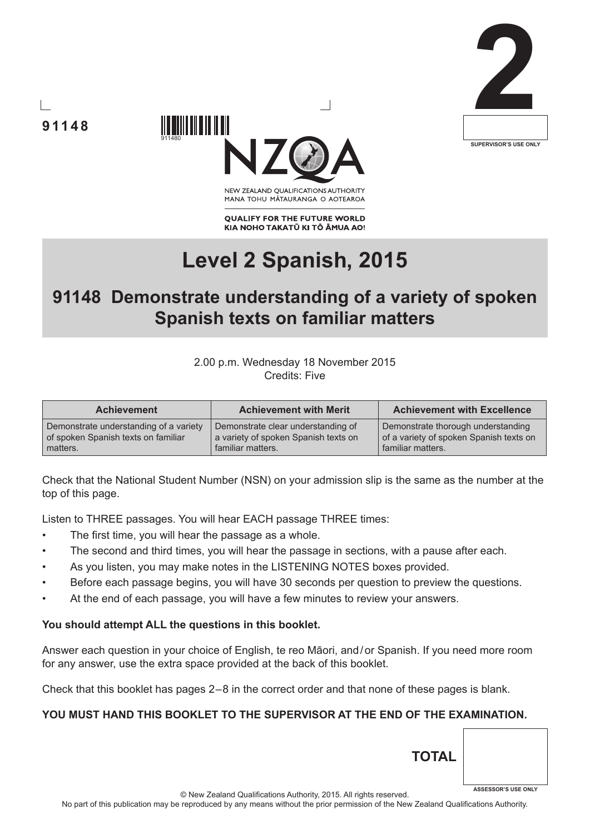





NEW ZEALAND OUALIFICATIONS AUTHORITY MANA TOHU MATAURANGA O AOTEAROA

**QUALIFY FOR THE FUTURE WORLD** KIA NOHO TAKATŪ KI TŌ ĀMUA AO!

# **Level 2 Spanish, 2015**

# **91148 Demonstrate understanding of a variety of spoken Spanish texts on familiar matters**

#### 2.00 p.m. Wednesday 18 November 2015 Credits: Five

| <b>Achievement</b>                     | <b>Achievement with Merit</b>        | <b>Achievement with Excellence</b>      |
|----------------------------------------|--------------------------------------|-----------------------------------------|
| Demonstrate understanding of a variety | Demonstrate clear understanding of   | Demonstrate thorough understanding      |
| of spoken Spanish texts on familiar    | a variety of spoken Spanish texts on | of a variety of spoken Spanish texts on |
| matters.                               | familiar matters.                    | familiar matters.                       |

Check that the National Student Number (NSN) on your admission slip is the same as the number at the top of this page.

Listen to THREE passages. You will hear EACH passage THREE times:

The first time, you will hear the passage as a whole.

911480

- The second and third times, you will hear the passage in sections, with a pause after each.
- As you listen, you may make notes in the LISTENING NOTES boxes provided.
- Before each passage begins, you will have 30 seconds per question to preview the questions.
- At the end of each passage, you will have a few minutes to review your answers.

#### **You should attempt ALL the questions in this booklet.**

Answer each question in your choice of English, te reo Māori, and/or Spanish. If you need more room for any answer, use the extra space provided at the back of this booklet.

Check that this booklet has pages 2 – 8 in the correct order and that none of these pages is blank.

#### **YOU MUST HAND THIS BOOKLET TO THE SUPERVISOR AT THE END OF THE EXAMINATION.**

© New Zealand Qualifications Authority, 2015. All rights reserved. No part of this publication may be reproduced by any means without the prior permission of the New Zealand Qualifications Authority. **ASSESSOR'S USE ONLY**

**TOTAL**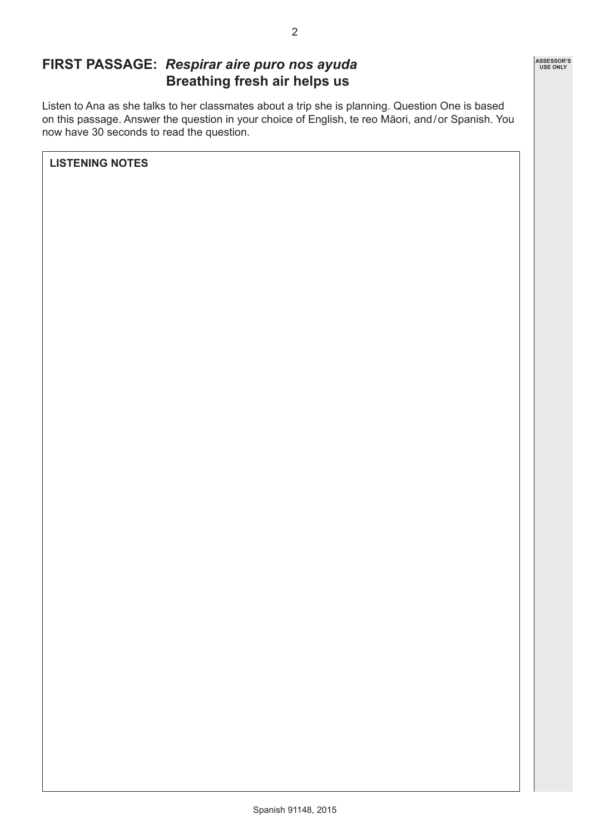

# **FIRST PASSAGE:** *Respirar aire puro nos ayuda* **Breathing fresh air helps us**

Listen to Ana as she talks to her classmates about a trip she is planning. Question One is based on this passage. Answer the question in your choice of English, te reo Māori, and/or Spanish. You now have 30 seconds to read the question.

**LISTENING NOTES**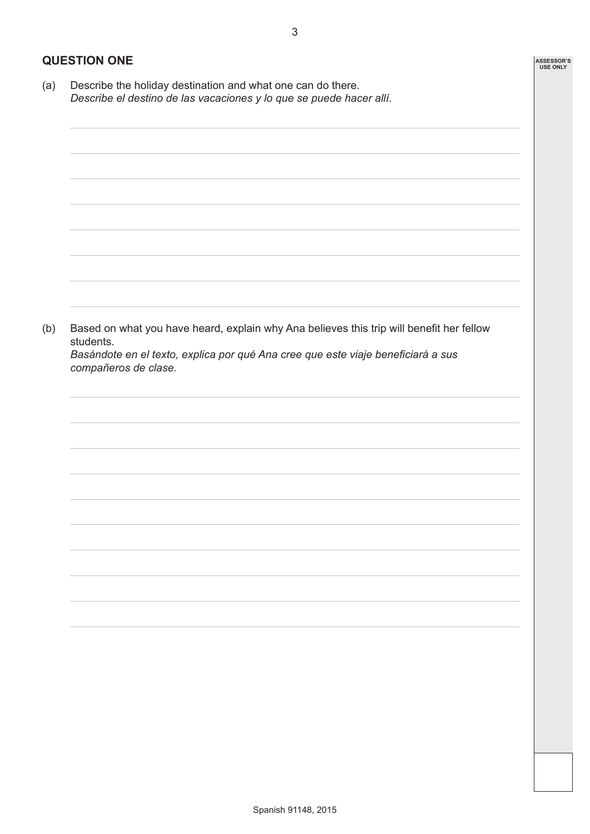**ASSESSOR'S USE ONLY**

#### **QUESTION ONE**

(a) Describe the holiday destination and what one can do there. *Describe el destino de las vacaciones y lo que se puede hacer allí.*

(b) Based on what you have heard, explain why Ana believes this trip will benefit her fellow students.

*Basándote en el texto, explica por qué Ana cree que este viaje beneficiará a sus compañeros de clase.*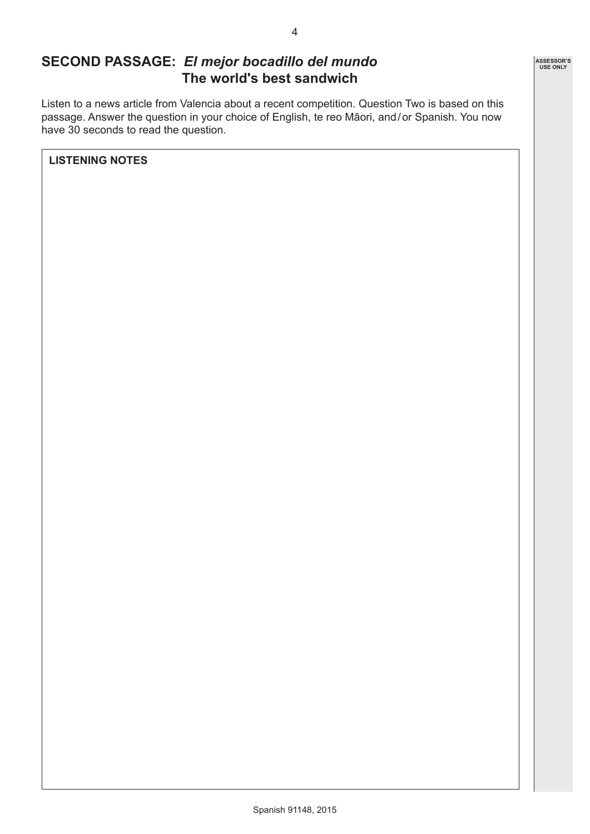### **SECOND PASSAGE:** *El mejor bocadillo del mundo* **The world's best sandwich**

Listen to a news article from Valencia about a recent competition. Question Two is based on this passage. Answer the question in your choice of English, te reo Māori, and/or Spanish. You now have 30 seconds to read the question.

**LISTENING NOTES**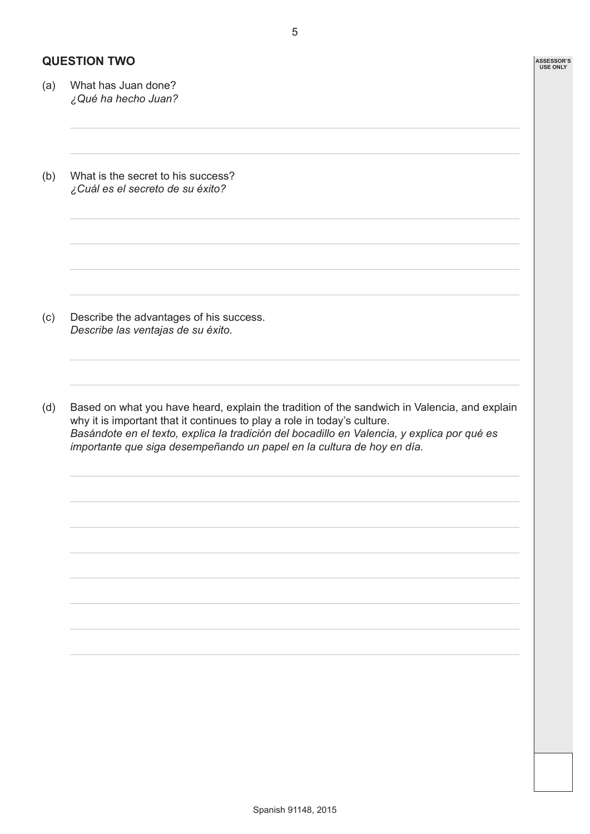#### **QUESTION TWO**

- (a) What has Juan done? *¿Qué ha hecho Juan?*
- (b) What is the secret to his success? *¿Cuál es el secreto de su éxito?*

- (c) Describe the advantages of his success. *Describe las ventajas de su éxito.*
- (d) Based on what you have heard, explain the tradition of the sandwich in Valencia, and explain why it is important that it continues to play a role in today's culture. *Basándote en el texto, explica la tradición del bocadillo en Valencia, y explica por qué es importante que siga desempeñando un papel en la cultura de hoy en día.*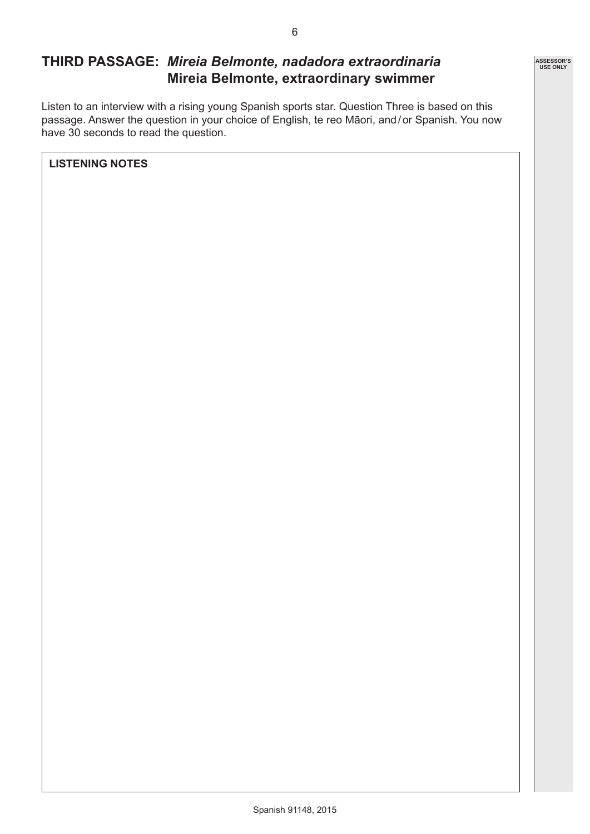# **THIRD PASSAGE:** *Mireia Belmonte, nadadora extraordinaria* **Mireia Belmonte, extraordinary swimmer**

Listen to an interview with a rising young Spanish sports star. Question Three is based on this passage. Answer the question in your choice of English, te reo Māori, and/or Spanish. You now have 30 seconds to read the question.

**LISTENING NOTES**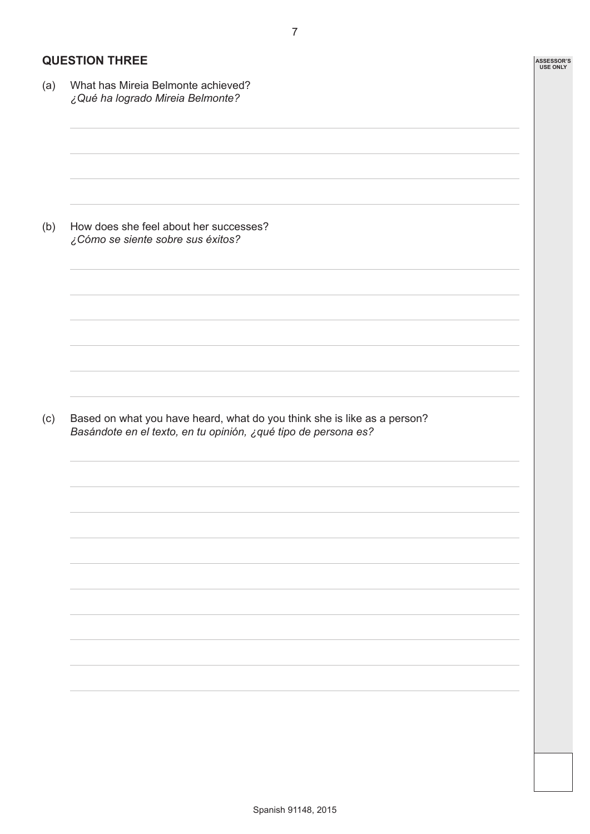#### **QUESTION THREE**

(a) What has Mireia Belmonte achieved? *¿Qué ha logrado Mireia Belmonte?* (b) How does she feel about her successes? *¿Cómo se siente sobre sus éxitos?* (c) Based on what you have heard, what do you think she is like as a person? *Basándote en el texto, en tu opinión, ¿qué tipo de persona es?*